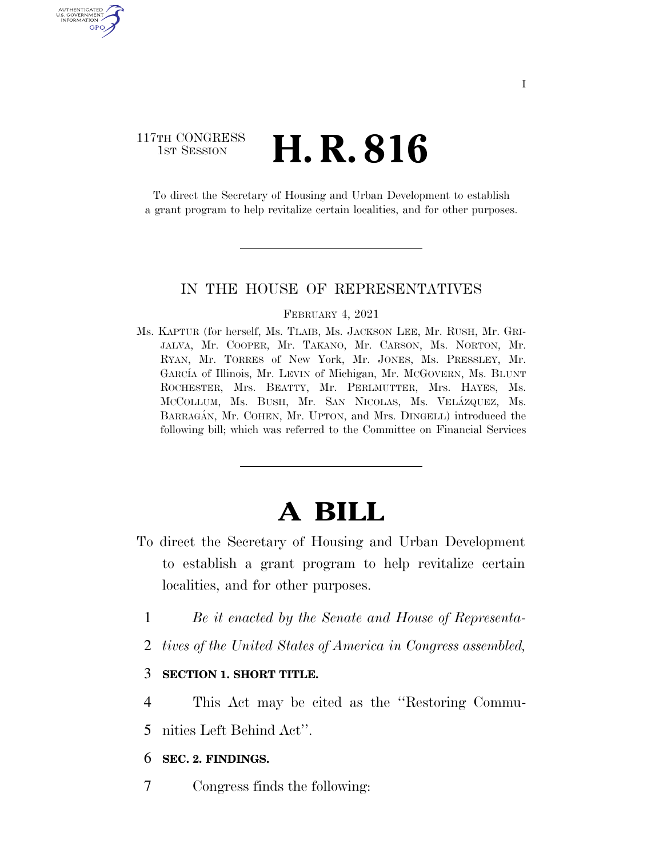## 117TH CONGRESS <sup>TH CONGRESS</sup> **H. R. 816**

AUTHENTICATED U.S. GOVERNMENT GPO

> To direct the Secretary of Housing and Urban Development to establish a grant program to help revitalize certain localities, and for other purposes.

### IN THE HOUSE OF REPRESENTATIVES

#### FEBRUARY 4, 2021

Ms. KAPTUR (for herself, Ms. TLAIB, Ms. JACKSON LEE, Mr. RUSH, Mr. GRI-JALVA, Mr. COOPER, Mr. TAKANO, Mr. CARSON, Ms. NORTON, Mr. RYAN, Mr. TORRES of New York, Mr. JONES, Ms. PRESSLEY, Mr. GARCI´A of Illinois, Mr. LEVIN of Michigan, Mr. MCGOVERN, Ms. BLUNT ROCHESTER, Mrs. BEATTY, Mr. PERLMUTTER, Mrs. HAYES, Ms. MCCOLLUM, Ms. BUSH, Mr. SAN NICOLAS, Ms. VELÁZQUEZ, Ms. BARRAGÁN, Mr. COHEN, Mr. UPTON, and Mrs. DINGELL) introduced the following bill; which was referred to the Committee on Financial Services

# **A BILL**

- To direct the Secretary of Housing and Urban Development to establish a grant program to help revitalize certain localities, and for other purposes.
	- 1 *Be it enacted by the Senate and House of Representa-*
	- 2 *tives of the United States of America in Congress assembled,*

### 3 **SECTION 1. SHORT TITLE.**

- 4 This Act may be cited as the ''Restoring Commu-
- 5 nities Left Behind Act''.

### 6 **SEC. 2. FINDINGS.**

7 Congress finds the following: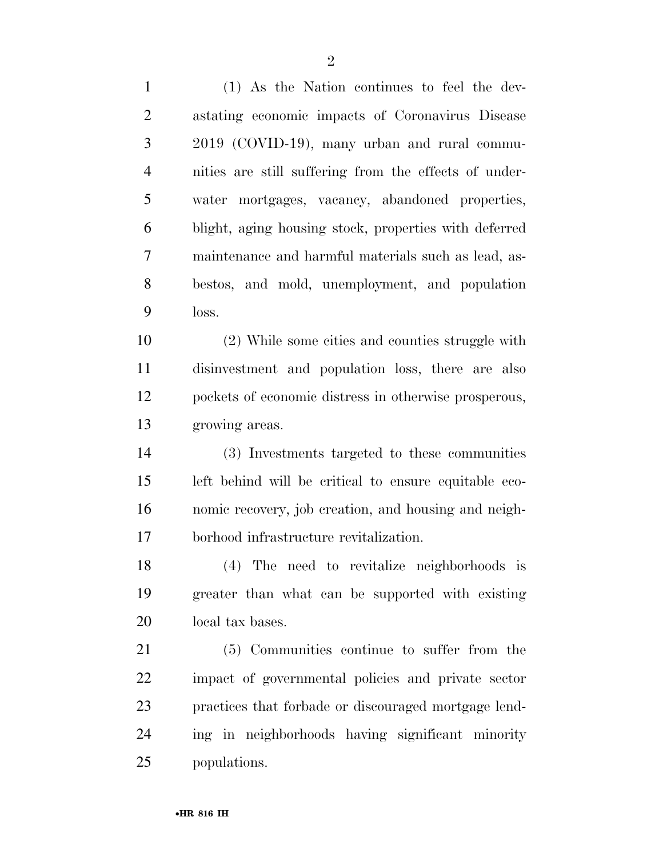(1) As the Nation continues to feel the dev- astating economic impacts of Coronavirus Disease 2019 (COVID-19), many urban and rural commu- nities are still suffering from the effects of under- water mortgages, vacancy, abandoned properties, blight, aging housing stock, properties with deferred maintenance and harmful materials such as lead, as- bestos, and mold, unemployment, and population loss.

 (2) While some cities and counties struggle with disinvestment and population loss, there are also pockets of economic distress in otherwise prosperous, growing areas.

 (3) Investments targeted to these communities left behind will be critical to ensure equitable eco- nomic recovery, job creation, and housing and neigh-borhood infrastructure revitalization.

 (4) The need to revitalize neighborhoods is greater than what can be supported with existing local tax bases.

 (5) Communities continue to suffer from the impact of governmental policies and private sector practices that forbade or discouraged mortgage lend- ing in neighborhoods having significant minority populations.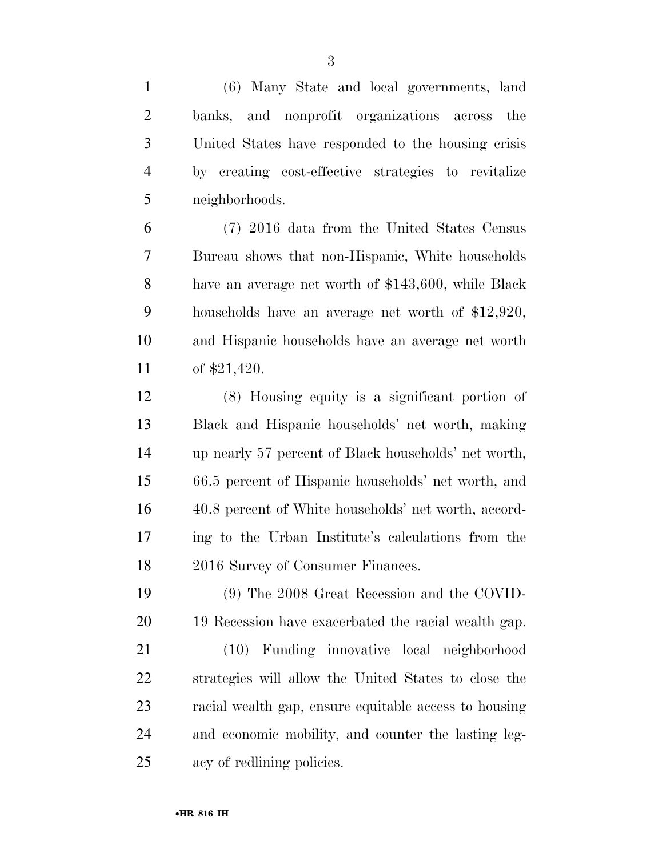(6) Many State and local governments, land banks, and nonprofit organizations across the United States have responded to the housing crisis by creating cost-effective strategies to revitalize neighborhoods.

 (7) 2016 data from the United States Census Bureau shows that non-Hispanic, White households have an average net worth of \$143,600, while Black households have an average net worth of \$12,920, and Hispanic households have an average net worth of \$21,420.

 (8) Housing equity is a significant portion of Black and Hispanic households' net worth, making up nearly 57 percent of Black households' net worth, 66.5 percent of Hispanic households' net worth, and 40.8 percent of White households' net worth, accord- ing to the Urban Institute's calculations from the 2016 Survey of Consumer Finances.

 (9) The 2008 Great Recession and the COVID-19 Recession have exacerbated the racial wealth gap.

 (10) Funding innovative local neighborhood strategies will allow the United States to close the racial wealth gap, ensure equitable access to housing and economic mobility, and counter the lasting leg-acy of redlining policies.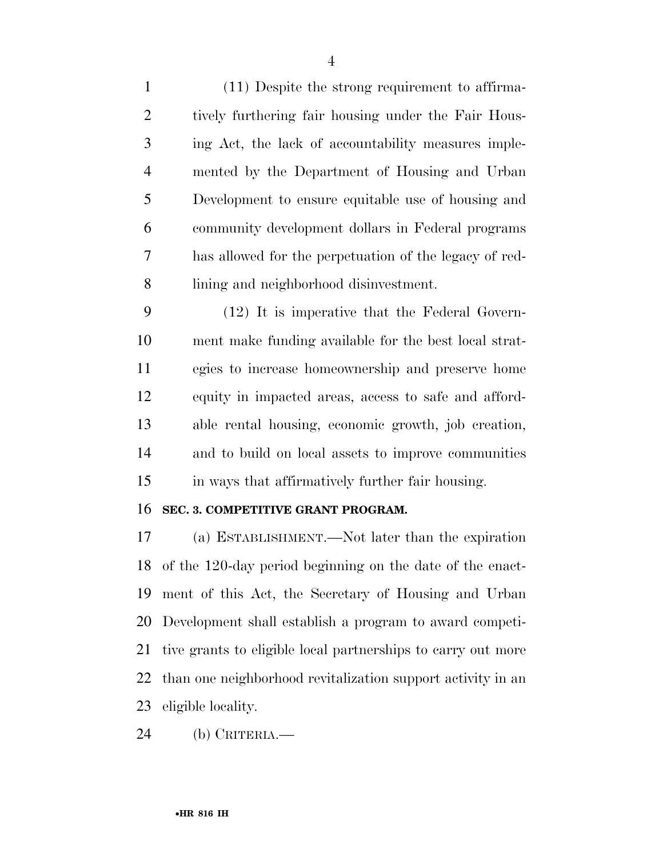(11) Despite the strong requirement to affirma-2 tively furthering fair housing under the Fair Hous- ing Act, the lack of accountability measures imple- mented by the Department of Housing and Urban Development to ensure equitable use of housing and community development dollars in Federal programs has allowed for the perpetuation of the legacy of red-lining and neighborhood disinvestment.

 (12) It is imperative that the Federal Govern- ment make funding available for the best local strat- egies to increase homeownership and preserve home equity in impacted areas, access to safe and afford- able rental housing, economic growth, job creation, and to build on local assets to improve communities in ways that affirmatively further fair housing.

### **SEC. 3. COMPETITIVE GRANT PROGRAM.**

 (a) ESTABLISHMENT.—Not later than the expiration of the 120-day period beginning on the date of the enact- ment of this Act, the Secretary of Housing and Urban Development shall establish a program to award competi- tive grants to eligible local partnerships to carry out more than one neighborhood revitalization support activity in an eligible locality.

(b) CRITERIA.—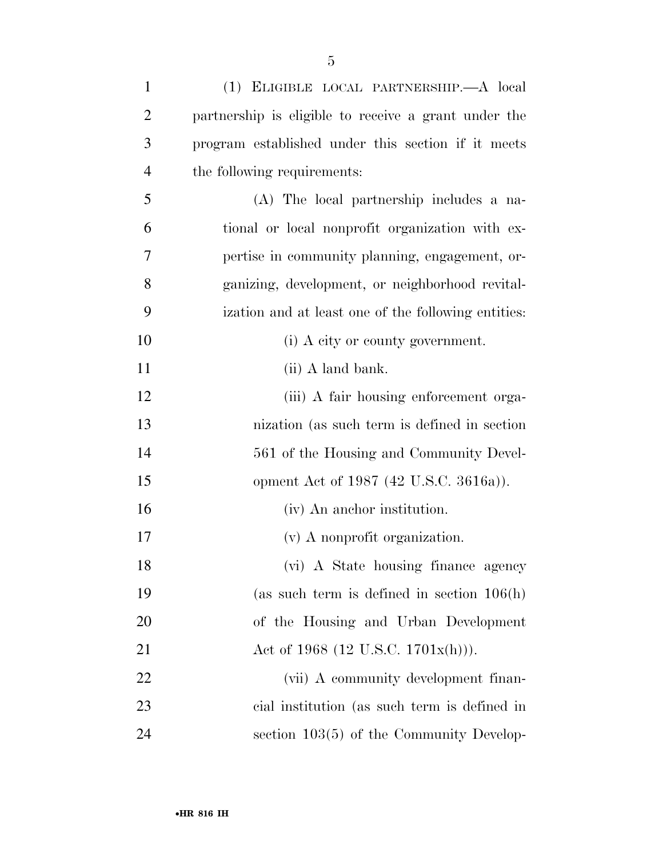| $\mathbf{1}$   | (1) ELIGIBLE LOCAL PARTNERSHIP.—A local              |
|----------------|------------------------------------------------------|
| $\overline{2}$ | partnership is eligible to receive a grant under the |
| 3              | program established under this section if it meets   |
| $\overline{4}$ | the following requirements:                          |
| 5              | (A) The local partnership includes a na-             |
| 6              | tional or local nonprofit organization with ex-      |
| 7              | pertise in community planning, engagement, or-       |
| 8              | ganizing, development, or neighborhood revital-      |
| 9              | ization and at least one of the following entities:  |
| 10             | (i) A city or county government.                     |
| 11             | (ii) A land bank.                                    |
| 12             | (iii) A fair housing enforcement orga-               |
| 13             | nization (as such term is defined in section         |
| 14             | 561 of the Housing and Community Devel-              |
| 15             | opment Act of 1987 (42 U.S.C. 3616a)).               |
| 16             | (iv) An anchor institution.                          |
| 17             | (v) A nonprofit organization.                        |
| 18             | (vi) A State housing finance agency                  |
| 19             | (as such term is defined in section $106(h)$ )       |
| 20             | of the Housing and Urban Development                 |
| 21             | Act of 1968 (12 U.S.C. 1701x(h))).                   |
| 22             | (vii) A community development finan-                 |
| 23             | cial institution (as such term is defined in         |
| 24             | section $103(5)$ of the Community Develop-           |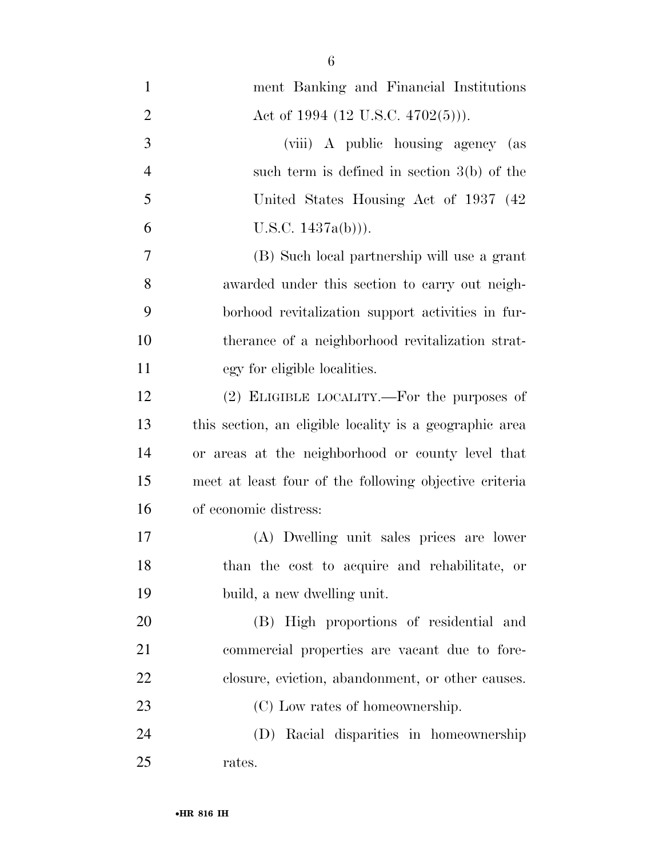| $\mathbf{1}$   | ment Banking and Financial Institutions                 |
|----------------|---------------------------------------------------------|
| $\overline{2}$ | Act of 1994 $(12 \text{ U.S.C. } 4702(5))$ .            |
| 3              | (viii) A public housing agency (as                      |
| $\overline{4}$ | such term is defined in section $3(b)$ of the           |
| 5              | United States Housing Act of 1937 (42)                  |
| 6              | U.S.C. $1437a(b))$ .                                    |
| $\tau$         | (B) Such local partnership will use a grant             |
| 8              | awarded under this section to carry out neigh-          |
| 9              | borhood revitalization support activities in fur-       |
| 10             | therance of a neighborhood revitalization strat-        |
| 11             | egy for eligible localities.                            |
| 12             | (2) ELIGIBLE LOCALITY.—For the purposes of              |
| 13             | this section, an eligible locality is a geographic area |
| 14             | or areas at the neighborhood or county level that       |
| 15             | meet at least four of the following objective criteria  |
| 16             | of economic distress:                                   |
| 17             | (A) Dwelling unit sales prices are lower                |
| 18             | than the cost to acquire and rehabilitate, or           |
| 19             | build, a new dwelling unit.                             |
| 20             | (B) High proportions of residential and                 |
| 21             | commercial properties are vacant due to fore-           |
| 22             | closure, eviction, abandonment, or other causes.        |
| 23             | (C) Low rates of homeownership.                         |
| 24             | (D) Racial disparities in homeownership                 |
| 25             | rates.                                                  |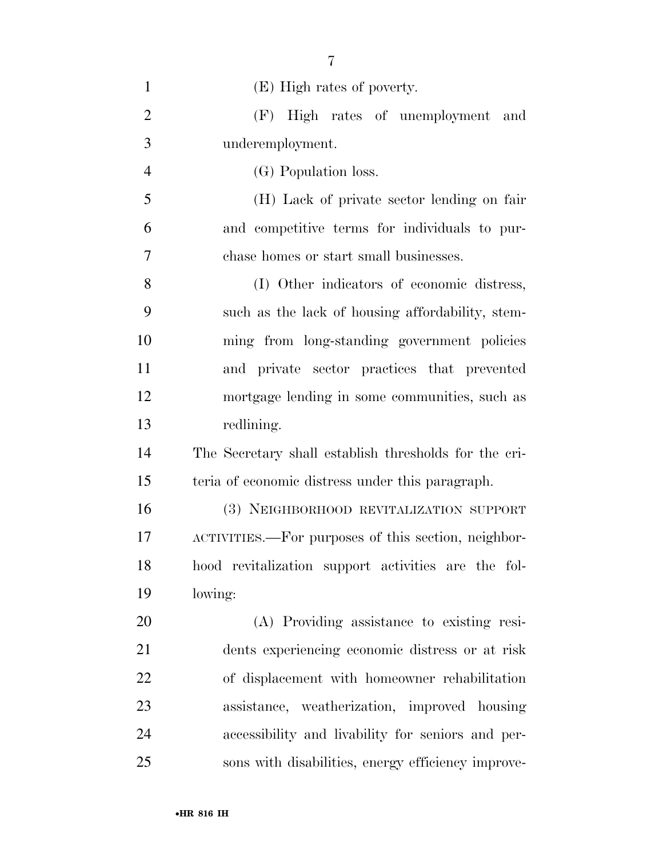| $\mathbf{1}$   | (E) High rates of poverty.                            |
|----------------|-------------------------------------------------------|
| $\overline{2}$ | (F) High rates of unemployment and                    |
| 3              | underemployment.                                      |
| $\overline{4}$ | (G) Population loss.                                  |
| 5              | (H) Lack of private sector lending on fair            |
| 6              | and competitive terms for individuals to pur-         |
| 7              | chase homes or start small businesses.                |
| 8              | (I) Other indicators of economic distress,            |
| 9              | such as the lack of housing affordability, stem-      |
| 10             | ming from long-standing government policies           |
| 11             | and private sector practices that prevented           |
| 12             | mortgage lending in some communities, such as         |
| 13             | redlining.                                            |
| 14             | The Secretary shall establish thresholds for the cri- |
| 15             | teria of economic distress under this paragraph.      |
| 16             | (3) NEIGHBORHOOD REVITALIZATION SUPPORT               |
| 17             | ACTIVITIES.—For purposes of this section, neighbor-   |
| 18             | hood revitalization support activities are the fol-   |
| 19             | lowing:                                               |
| 20             | (A) Providing assistance to existing resi-            |
| 21             | dents experiencing economic distress or at risk       |
| 22             | of displacement with homeowner rehabilitation         |
| 23             | assistance, weatherization, improved housing          |
| 24             | accessibility and livability for seniors and per-     |
| 25             | sons with disabilities, energy efficiency improve-    |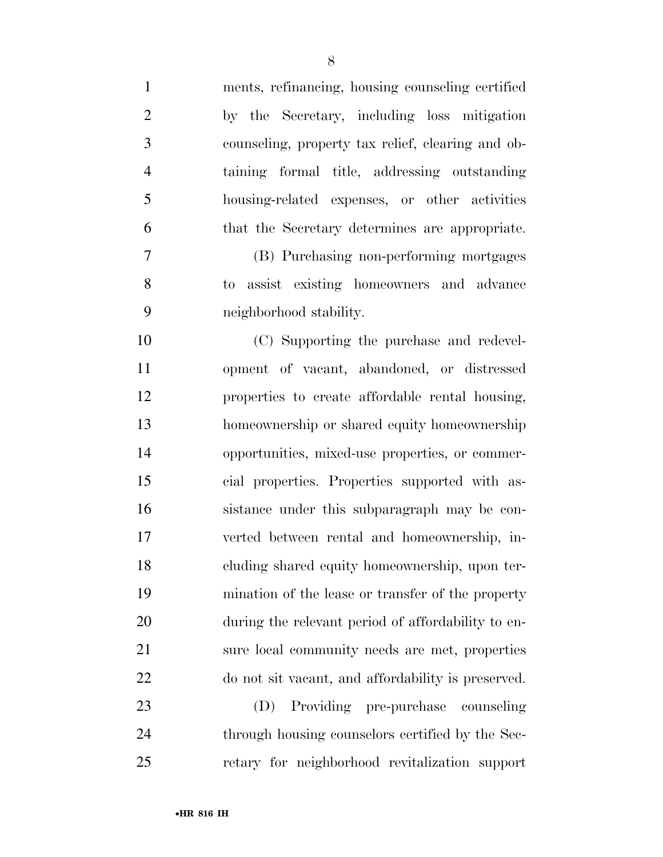| $\mathbf{1}$   | ments, refinancing, housing counseling certified   |
|----------------|----------------------------------------------------|
| $\overline{2}$ | by the Secretary, including loss mitigation        |
| $\mathfrak{Z}$ | counseling, property tax relief, clearing and ob-  |
| $\overline{4}$ | taining formal title, addressing outstanding       |
| 5              | housing-related expenses, or other activities      |
| 6              | that the Secretary determines are appropriate.     |
| 7              | (B) Purchasing non-performing mortgages            |
| 8              | to assist existing homeowners and advance          |
| 9              | neighborhood stability.                            |
| 10             | (C) Supporting the purchase and redevel-           |
| 11             | opment of vacant, abandoned, or distressed         |
| 12             | properties to create affordable rental housing,    |
| 13             | homeownership or shared equity homeownership       |
| 14             | opportunities, mixed-use properties, or commer-    |
| 15             | cial properties. Properties supported with as-     |
| 16             | sistance under this subparagraph may be con-       |
| 17             | verted between rental and homeownership, in-       |
| 18             | cluding shared equity homeownership, upon ter-     |
| 19             | mination of the lease or transfer of the property  |
| 20             | during the relevant period of affordability to en- |
| 21             | sure local community needs are met, properties     |
| 22             | do not sit vacant, and affordability is preserved. |
| 23             | Providing pre-purchase<br>(D)<br>counseling        |
| 24             | through housing counselors certified by the Sec-   |
| 25             | retary for neighborhood revitalization support     |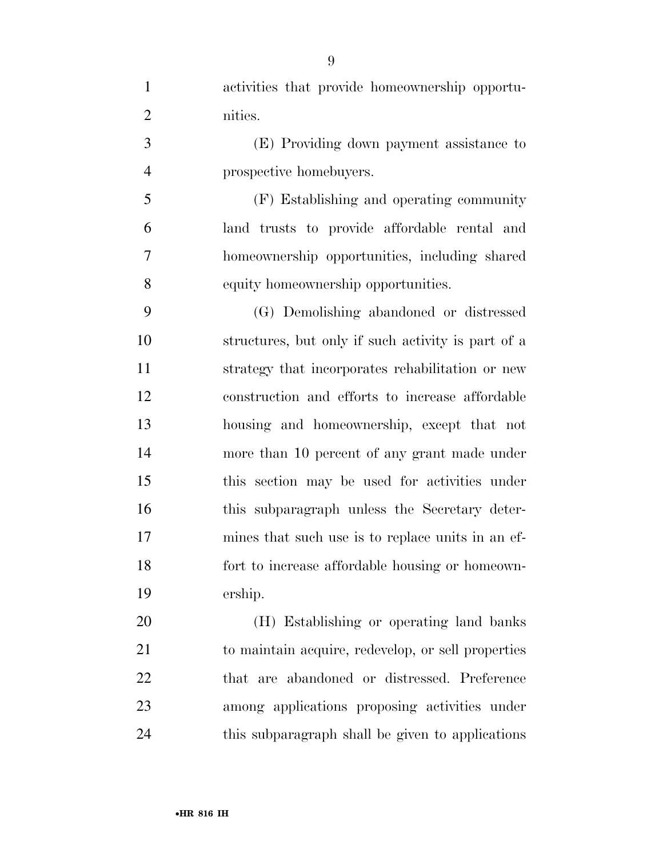| $\mathbf{1}$   | activities that provide homeownership opportu-     |
|----------------|----------------------------------------------------|
| $\overline{2}$ | nities.                                            |
| 3              | (E) Providing down payment assistance to           |
| $\overline{4}$ | prospective homebuyers.                            |
| 5              | (F) Establishing and operating community           |
| 6              | land trusts to provide affordable rental and       |
| $\tau$         | homeownership opportunities, including shared      |
| 8              | equity homeownership opportunities.                |
| 9              | (G) Demolishing abandoned or distressed            |
| 10             | structures, but only if such activity is part of a |
| 11             | strategy that incorporates rehabilitation or new   |
| 12             | construction and efforts to increase affordable    |
| 13             | housing and homeownership, except that not         |
| 14             | more than 10 percent of any grant made under       |
| 15             | this section may be used for activities under      |
| 16             | this subparagraph unless the Secretary deter-      |
| 17             | mines that such use is to replace units in an ef-  |
| 18             | fort to increase affordable housing or homeown-    |
| 19             | ership.                                            |
| 20             | (H) Establishing or operating land banks           |
| 21             | to maintain acquire, redevelop, or sell properties |
| 22             | that are abandoned or distressed. Preference       |
| 23             | among applications proposing activities under      |
| 24             | this subparagraph shall be given to applications   |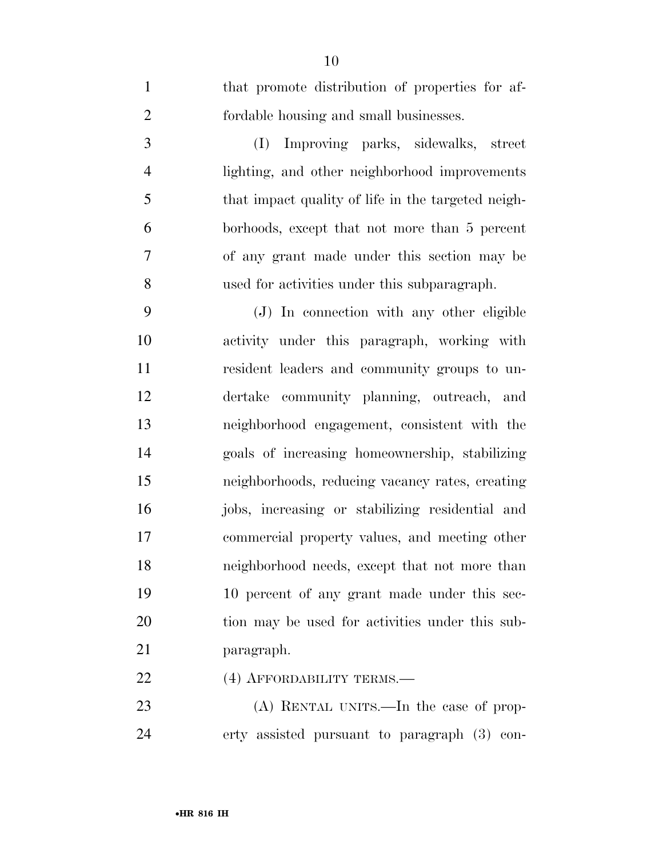| $\overline{2}$ | fordable housing and small businesses.             |
|----------------|----------------------------------------------------|
| 3              | Improving parks, sidewalks, street<br>(I)          |
| $\overline{4}$ | lighting, and other neighborhood improvements      |
| 5              | that impact quality of life in the targeted neigh- |
| 6              | borhoods, except that not more than 5 percent      |
| 7              | of any grant made under this section may be        |
| 8              | used for activities under this subparagraph.       |
| 9              | (J) In connection with any other eligible          |
| 10             | activity under this paragraph, working with        |
| 11             | resident leaders and community groups to un-       |
| 12             | dertake community planning, outreach, and          |
| 13             | neighborhood engagement, consistent with the       |
| 14             | goals of increasing homeownership, stabilizing     |
| 15             | neighborhoods, reducing vacancy rates, creating    |
| 16             | jobs, increasing or stabilizing residential and    |
| 17             | commercial property values, and meeting other      |
| 18             | neighborhood needs, except that not more than      |
| 19             | 10 percent of any grant made under this sec-       |
| 20             | tion may be used for activities under this sub-    |
| 21             | paragraph.                                         |
| 22             | (4) AFFORDABILITY TERMS.—                          |
| 23             | (A) RENTAL UNITS.—In the case of prop-             |
| 24             | erty assisted pursuant to paragraph (3) con-       |

that promote distribution of properties for af-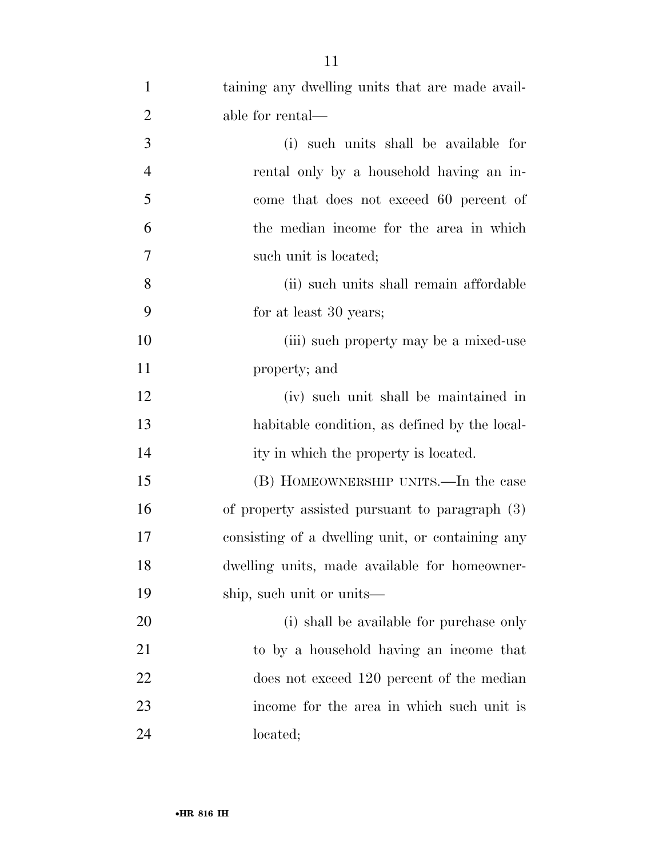| $\mathbf{1}$   | taining any dwelling units that are made avail-  |
|----------------|--------------------------------------------------|
| $\overline{2}$ | able for rental—                                 |
| 3              | (i) such units shall be available for            |
| $\overline{4}$ | rental only by a household having an in-         |
| 5              | come that does not exceed 60 percent of          |
| 6              | the median income for the area in which          |
| 7              | such unit is located;                            |
| 8              | (ii) such units shall remain affordable          |
| 9              | for at least 30 years;                           |
| 10             | (iii) such property may be a mixed-use           |
| 11             | property; and                                    |
| 12             | (iv) such unit shall be maintained in            |
| 13             | habitable condition, as defined by the local-    |
| 14             | ity in which the property is located.            |
| 15             | (B) HOMEOWNERSHIP UNITS.—In the case             |
| 16             | of property assisted pursuant to paragraph (3)   |
| 17             | consisting of a dwelling unit, or containing any |
| 18             | dwelling units, made available for homeowner-    |
| 19             | ship, such unit or units—                        |
| 20             | (i) shall be available for purchase only         |
| 21             | to by a household having an income that          |
| 22             | does not exceed 120 percent of the median        |
| 23             | income for the area in which such unit is        |
| 24             | located;                                         |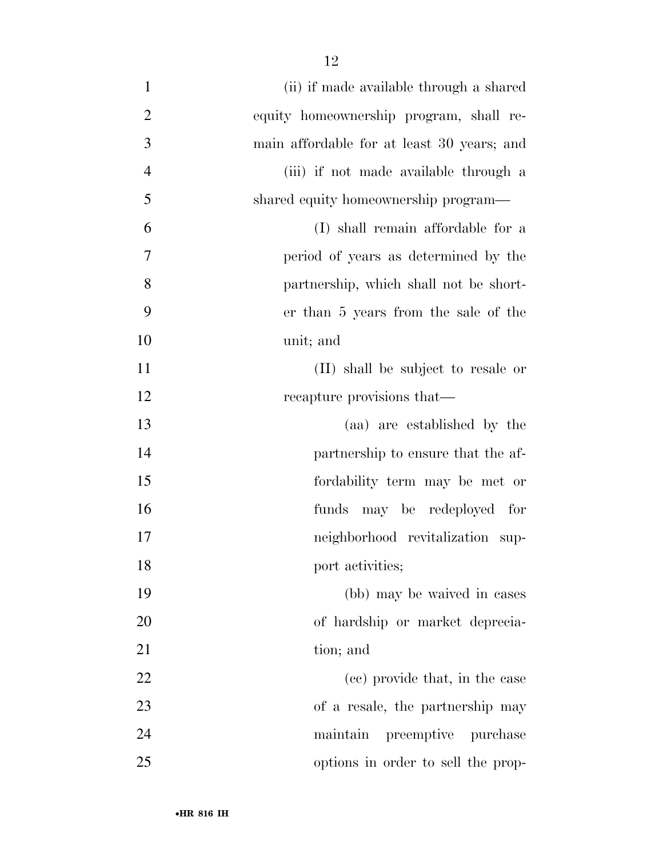| $\mathbf{1}$   | (ii) if made available through a shared    |
|----------------|--------------------------------------------|
| $\overline{2}$ | equity homeownership program, shall re-    |
| $\overline{3}$ | main affordable for at least 30 years; and |
| $\overline{4}$ | (iii) if not made available through a      |
| 5              | shared equity homeownership program—       |
| 6              | (I) shall remain affordable for a          |
| 7              | period of years as determined by the       |
| 8              | partnership, which shall not be short-     |
| 9              | er than 5 years from the sale of the       |
| 10             | unit; and                                  |
| 11             | (II) shall be subject to resale or         |
| 12             | recapture provisions that—                 |
| 13             | (aa) are established by the                |
| 14             | partnership to ensure that the af-         |
| 15             | fordability term may be met or             |
| 16             | funds may be redeployed for                |
| 17             | neighborhood revitalization sup-           |
| 18             | port activities;                           |
| 19             | (bb) may be waived in cases                |
| 20             | of hardship or market deprecia-            |
| 21             | tion; and                                  |
| 22             | (cc) provide that, in the case             |
| 23             | of a resale, the partnership may           |
| 24             | preemptive purchase<br>maintain            |
| 25             | options in order to sell the prop-         |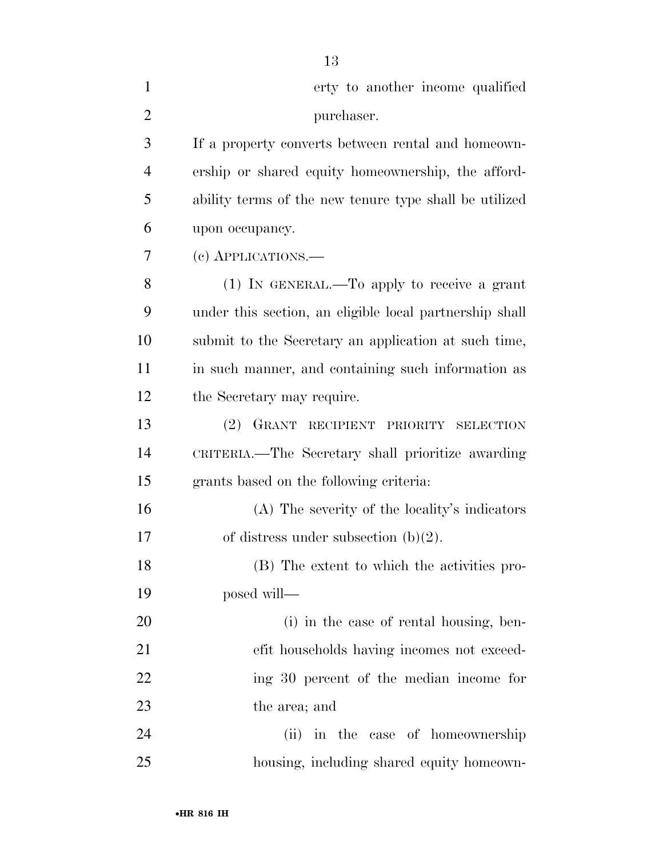| $\mathbf{1}$   | erty to another income qualified                        |
|----------------|---------------------------------------------------------|
| $\overline{2}$ | purchaser.                                              |
| 3              | If a property converts between rental and homeown-      |
| $\overline{4}$ | ership or shared equity homeownership, the afford-      |
| 5              | ability terms of the new tenure type shall be utilized  |
| 6              | upon occupancy.                                         |
| 7              | (c) APPLICATIONS.—                                      |
| 8              | $(1)$ In GENERAL.—To apply to receive a grant           |
| 9              | under this section, an eligible local partnership shall |
| 10             | submit to the Secretary an application at such time,    |
| 11             | in such manner, and containing such information as      |
| 12             | the Secretary may require.                              |
| 13             | (2) GRANT RECIPIENT PRIORITY SELECTION                  |
| 14             | CRITERIA.—The Secretary shall prioritize awarding       |
| 15             | grants based on the following criteria:                 |
| 16             | (A) The severity of the locality's indicators           |
| 17             | of distress under subsection $(b)(2)$ .                 |
| 18             | (B) The extent to which the activities pro-             |
| 19             | posed will—                                             |
| 20             | (i) in the case of rental housing, ben-                 |
| 21             | efit households having incomes not exceed-              |
| 22             | ing 30 percent of the median income for                 |
| 23             | the area; and                                           |
| 24             | (ii) in the case of homeownership                       |
| 25             | housing, including shared equity homeown-               |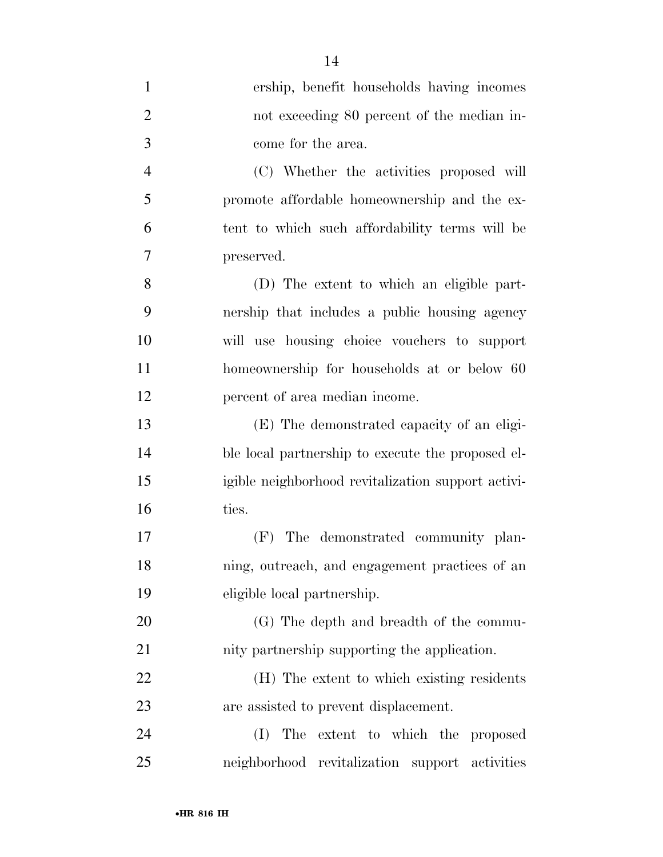| $\mathbf{1}$   | ership, benefit households having incomes          |
|----------------|----------------------------------------------------|
| $\overline{2}$ | not exceeding 80 percent of the median in-         |
| 3              | come for the area.                                 |
| 4              | (C) Whether the activities proposed will           |
| 5              | promote affordable homeownership and the ex-       |
| 6              | tent to which such affordability terms will be     |
| 7              | preserved.                                         |
| 8              | (D) The extent to which an eligible part-          |
| 9              | nership that includes a public housing agency      |
| 10             | will use housing choice vouchers to support        |
| 11             | homeownership for households at or below 60        |
| 12             | percent of area median income.                     |
| 13             | (E) The demonstrated capacity of an eligi-         |
| 14             | ble local partnership to execute the proposed el-  |
| 15             | igible neighborhood revitalization support activi- |
| 16             | ties.                                              |
| 17             | The demonstrated community plan-<br>(F)            |
| 18             | ning, outreach, and engagement practices of an     |
| 19             | eligible local partnership.                        |
| 20             | (G) The depth and breadth of the commu-            |
| 21             | nity partnership supporting the application.       |
| 22             | (H) The extent to which existing residents         |
| 23             | are assisted to prevent displacement.              |
| 24             | The extent to which the proposed<br>(I)            |
| 25             | neighborhood revitalization support activities     |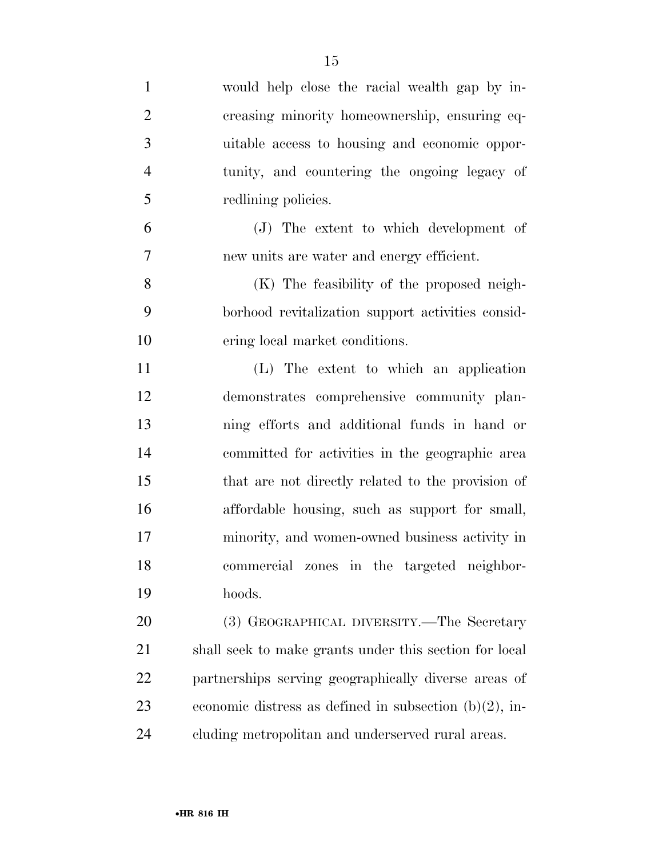| $\mathbf{1}$   | would help close the racial wealth gap by in-             |
|----------------|-----------------------------------------------------------|
| $\overline{2}$ | creasing minority homeownership, ensuring eq-             |
| 3              | uitable access to housing and economic oppor-             |
| $\overline{4}$ | tunity, and countering the ongoing legacy of              |
| 5              | redlining policies.                                       |
| 6              | (J) The extent to which development of                    |
| 7              | new units are water and energy efficient.                 |
| 8              | (K) The feasibility of the proposed neigh-                |
| 9              | borhood revitalization support activities consid-         |
| 10             | ering local market conditions.                            |
| 11             | (L) The extent to which an application                    |
| 12             | demonstrates comprehensive community plan-                |
| 13             | ning efforts and additional funds in hand or              |
| 14             | committed for activities in the geographic area           |
| 15             | that are not directly related to the provision of         |
| 16             | affordable housing, such as support for small,            |
| 17             | minority, and women-owned business activity in            |
| 18             | commercial zones in the targeted neighbor-                |
| 19             | hoods.                                                    |
| 20             | (3) GEOGRAPHICAL DIVERSITY.—The Secretary                 |
| 21             | shall seek to make grants under this section for local    |
| <u>22</u>      | partnerships serving geographically diverse areas of      |
| 23             | economic distress as defined in subsection $(b)(2)$ , in- |
| 24             | cluding metropolitan and underserved rural areas.         |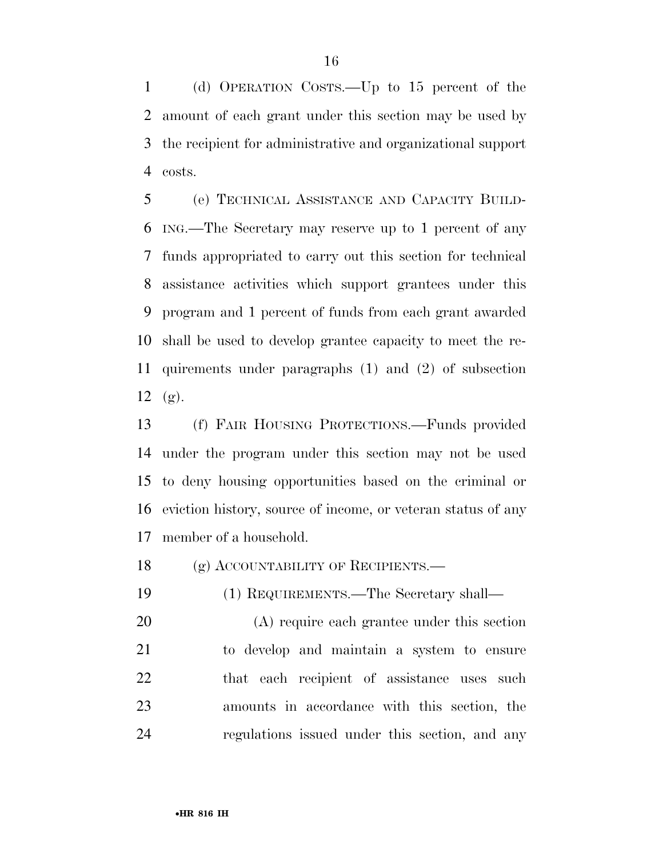(d) OPERATION COSTS.—Up to 15 percent of the amount of each grant under this section may be used by the recipient for administrative and organizational support costs.

 (e) TECHNICAL ASSISTANCE AND CAPACITY BUILD- ING.—The Secretary may reserve up to 1 percent of any funds appropriated to carry out this section for technical assistance activities which support grantees under this program and 1 percent of funds from each grant awarded shall be used to develop grantee capacity to meet the re- quirements under paragraphs (1) and (2) of subsection (g).

 (f) FAIR HOUSING PROTECTIONS.—Funds provided under the program under this section may not be used to deny housing opportunities based on the criminal or eviction history, source of income, or veteran status of any member of a household.

18 (g) ACCOUNTABILITY OF RECIPIENTS.

(1) REQUIREMENTS.—The Secretary shall—

 (A) require each grantee under this section to develop and maintain a system to ensure 22 that each recipient of assistance uses such amounts in accordance with this section, the regulations issued under this section, and any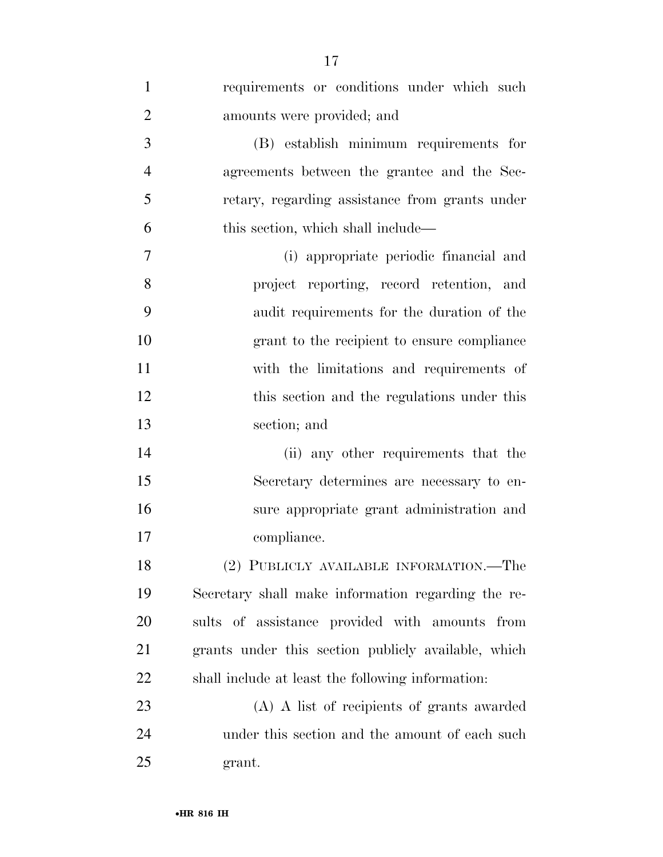| $\mathbf{1}$   | requirements or conditions under which such         |
|----------------|-----------------------------------------------------|
| $\overline{2}$ | amounts were provided; and                          |
| 3              | (B) establish minimum requirements for              |
| $\overline{4}$ | agreements between the grantee and the Sec-         |
| 5              |                                                     |
|                | retary, regarding assistance from grants under      |
| 6              | this section, which shall include—                  |
| $\overline{7}$ | (i) appropriate periodic financial and              |
| 8              | project reporting, record retention, and            |
| 9              | audit requirements for the duration of the          |
| 10             | grant to the recipient to ensure compliance         |
| 11             | with the limitations and requirements of            |
| 12             | this section and the regulations under this         |
| 13             | section; and                                        |
| 14             | (ii) any other requirements that the                |
| 15             | Secretary determines are necessary to en-           |
| 16             | sure appropriate grant administration and           |
| 17             | compliance.                                         |
| 18             | (2) PUBLICLY AVAILABLE INFORMATION.—The             |
| 19             | Secretary shall make information regarding the re-  |
| 20             | sults of assistance provided with amounts from      |
| 21             | grants under this section publicly available, which |
| 22             | shall include at least the following information:   |
| 23             | (A) A list of recipients of grants awarded          |
| 24             | under this section and the amount of each such      |
| 25             | grant.                                              |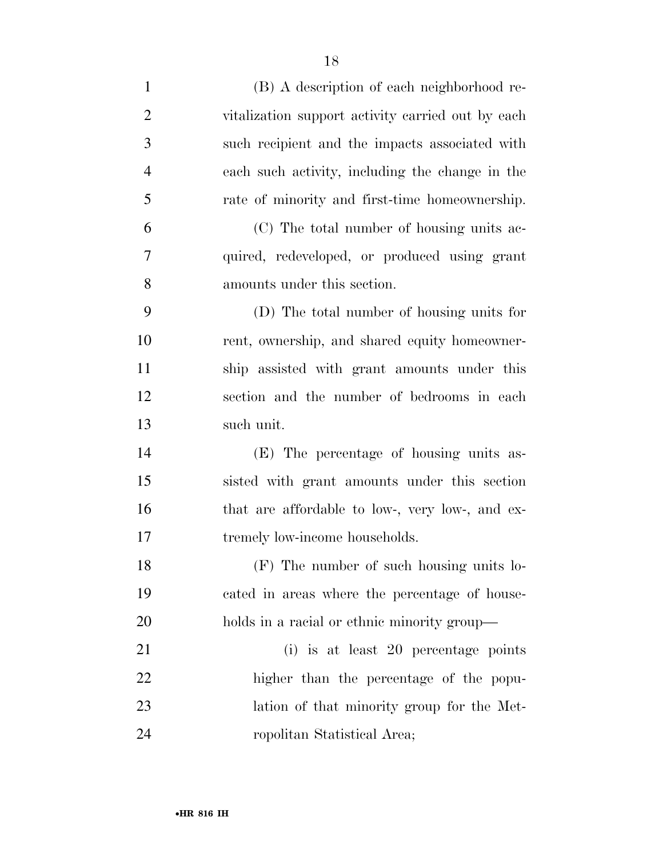| $\mathbf{1}$   | (B) A description of each neighborhood re-        |
|----------------|---------------------------------------------------|
| $\overline{2}$ | vitalization support activity carried out by each |
| 3              | such recipient and the impacts associated with    |
| $\overline{4}$ | each such activity, including the change in the   |
| 5              | rate of minority and first-time homeownership.    |
| 6              | (C) The total number of housing units ac-         |
| $\overline{7}$ | quired, redeveloped, or produced using grant      |
| 8              | amounts under this section.                       |
| 9              | (D) The total number of housing units for         |
| 10             | rent, ownership, and shared equity homeowner-     |
| 11             | ship assisted with grant amounts under this       |
| 12             | section and the number of bedrooms in each        |
| 13             | such unit.                                        |
| 14             | (E) The percentage of housing units as-           |
| 15             | sisted with grant amounts under this section      |
| 16             | that are affordable to low-, very low-, and ex-   |
| 17             | tremely low-income households.                    |
| 18             | (F) The number of such housing units lo-          |
| 19             | cated in areas where the percentage of house-     |
| 20             | holds in a racial or ethnic minority group—       |
| 21             | (i) is at least 20 percentage points              |
| 22             | higher than the percentage of the popu-           |
| 23             | lation of that minority group for the Met-        |
| 24             | ropolitan Statistical Area;                       |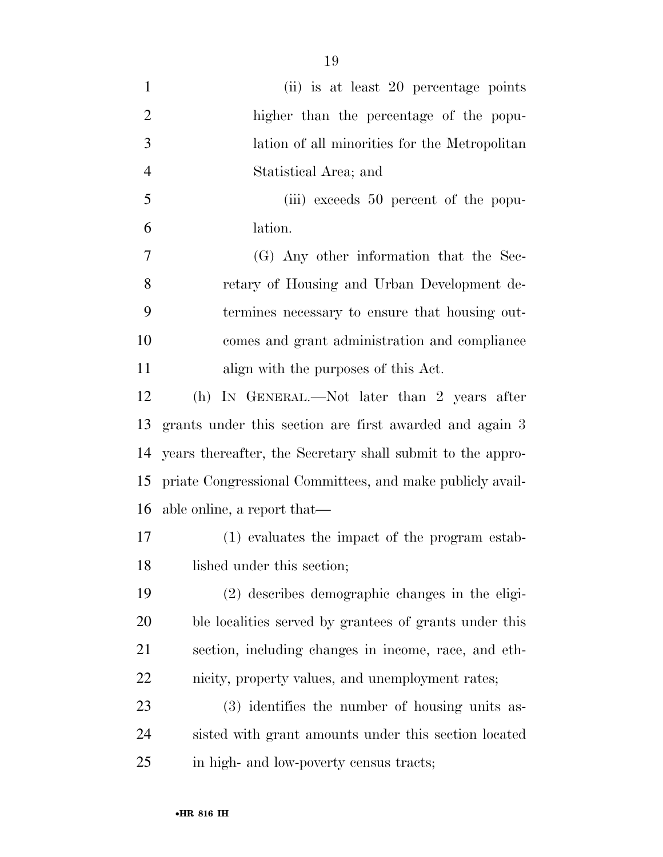| $\mathbf{1}$   | (ii) is at least 20 percentage points                      |
|----------------|------------------------------------------------------------|
| $\overline{2}$ | higher than the percentage of the popu-                    |
| 3              | lation of all minorities for the Metropolitan              |
| $\overline{4}$ | Statistical Area; and                                      |
| 5              | (iii) exceeds 50 percent of the popu-                      |
| 6              | lation.                                                    |
| 7              | (G) Any other information that the Sec-                    |
| 8              | retary of Housing and Urban Development de-                |
| 9              | termines necessary to ensure that housing out-             |
| 10             | comes and grant administration and compliance              |
| 11             | align with the purposes of this Act.                       |
| 12             | (h) IN GENERAL.—Not later than 2 years after               |
| 13             | grants under this section are first awarded and again 3    |
| 14             | years thereafter, the Secretary shall submit to the appro- |
| 15             | priate Congressional Committees, and make publicly avail-  |
| 16             | able online, a report that—                                |
| 17             | (1) evaluates the impact of the program estab-             |
| 18             | lished under this section;                                 |
| 19             | (2) describes demographic changes in the eligi-            |
| 20             | ble localities served by grantees of grants under this     |
| 21             | section, including changes in income, race, and eth-       |
| 22             | nicity, property values, and unemployment rates;           |
| 23             | (3) identifies the number of housing units as-             |
| 24             | sisted with grant amounts under this section located       |
| 25             | in high- and low-poverty census tracts;                    |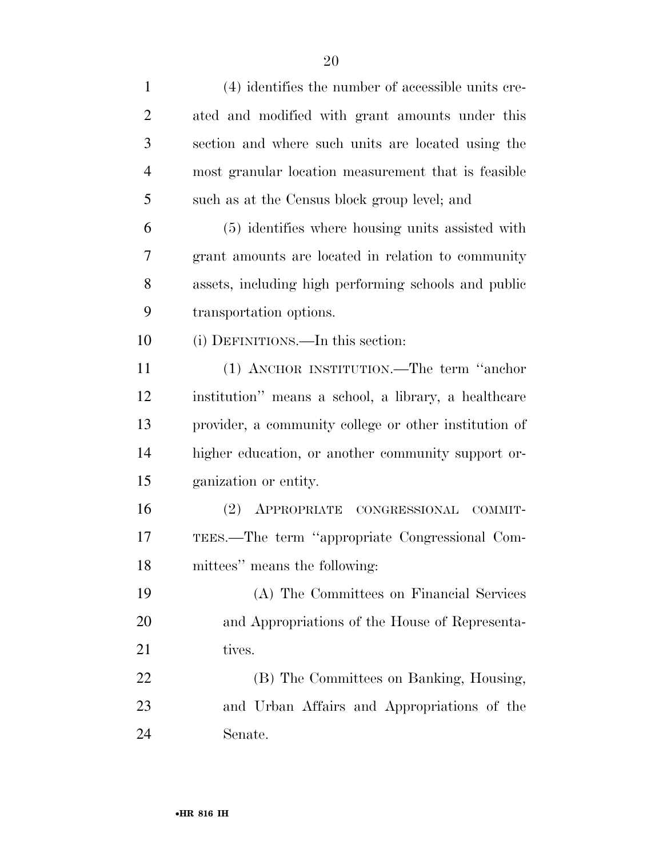| $\mathbf{1}$   | (4) identifies the number of accessible units cre-    |
|----------------|-------------------------------------------------------|
| $\overline{2}$ | ated and modified with grant amounts under this       |
| 3              | section and where such units are located using the    |
| 4              | most granular location measurement that is feasible   |
| 5              | such as at the Census block group level; and          |
| 6              | (5) identifies where housing units assisted with      |
| 7              | grant amounts are located in relation to community    |
| 8              | assets, including high performing schools and public  |
| 9              | transportation options.                               |
| 10             | (i) DEFINITIONS.—In this section:                     |
| 11             | (1) ANCHOR INSTITUTION.—The term "anchor              |
| 12             | institution" means a school, a library, a healthcare  |
| 13             | provider, a community college or other institution of |
| 14             | higher education, or another community support or-    |
| 15             | ganization or entity.                                 |
| 16             | (2) APPROPRIATE CONGRESSIONAL<br>COMMIT-              |
| 17             | TEES.—The term "appropriate Congressional Com-        |
| 18             | mittees" means the following:                         |
| 19             | (A) The Committees on Financial Services              |
| 20             | and Appropriations of the House of Representa-        |
| 21             | tives.                                                |
| 22             | (B) The Committees on Banking, Housing,               |
| 23             | and Urban Affairs and Appropriations of the           |
| 24             | Senate.                                               |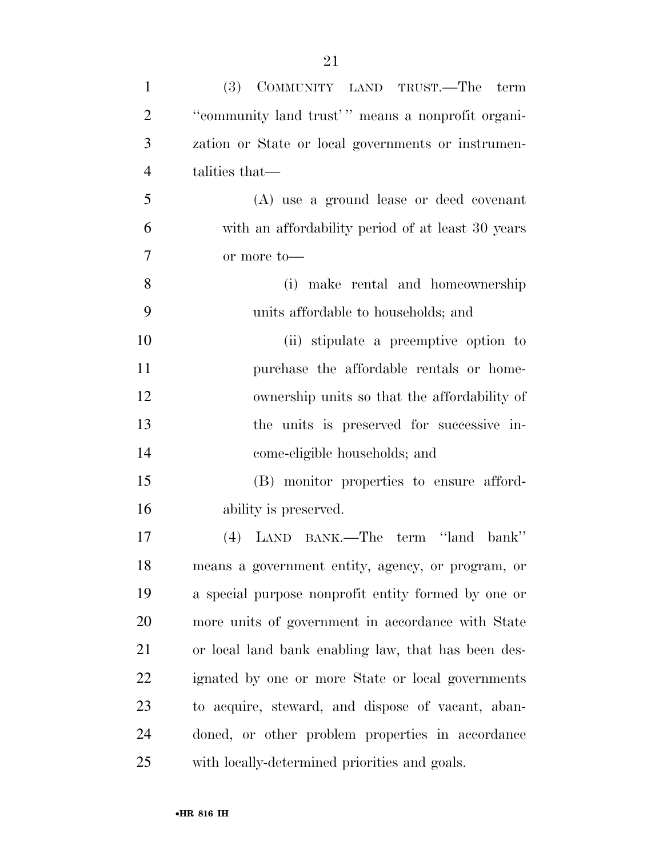| $\mathbf{1}$   | (3) COMMUNITY LAND TRUST.—The term                  |
|----------------|-----------------------------------------------------|
| $\overline{2}$ | "community land trust" means a nonprofit organi-    |
| 3              | zation or State or local governments or instrumen-  |
| $\overline{4}$ | talities that—                                      |
| 5              | (A) use a ground lease or deed covenant             |
| 6              | with an affordability period of at least 30 years   |
| 7              | or more to-                                         |
| 8              | (i) make rental and homeownership                   |
| 9              | units affordable to households; and                 |
| 10             | (ii) stipulate a preemptive option to               |
| 11             | purchase the affordable rentals or home-            |
| 12             | ownership units so that the affordability of        |
| 13             | the units is preserved for successive in-           |
| 14             | come-eligible households; and                       |
| 15             | (B) monitor properties to ensure afford-            |
| 16             | ability is preserved.                               |
| 17             | (4) LAND BANK.—The term "land bank"                 |
| 18             | means a government entity, agency, or program, or   |
| 19             | a special purpose nonprofit entity formed by one or |
| 20             | more units of government in accordance with State   |
| 21             | or local land bank enabling law, that has been des- |
| 22             | ignated by one or more State or local governments   |
| 23             | to acquire, steward, and dispose of vacant, aban-   |
| 24             | doned, or other problem properties in accordance    |
| 25             | with locally-determined priorities and goals.       |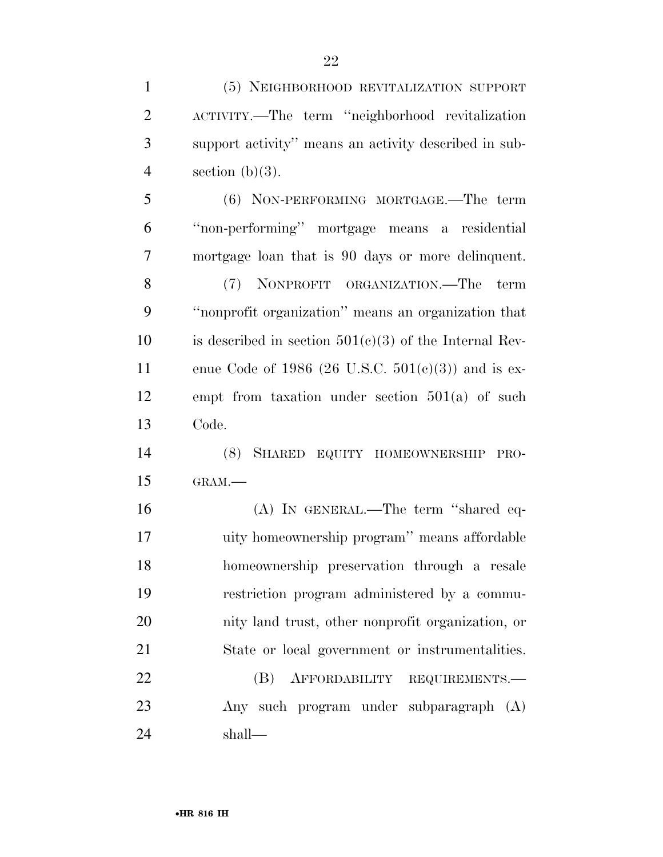(5) NEIGHBORHOOD REVITALIZATION SUPPORT

ACTIVITY.—The term ''neighborhood revitalization

| 3              | support activity" means an activity described in sub-    |
|----------------|----------------------------------------------------------|
| $\overline{4}$ | section $(b)(3)$ .                                       |
| 5              | (6) NON-PERFORMING MORTGAGE.—The term                    |
| 6              | "non-performing" mortgage means a residential            |
| 7              | mortgage loan that is 90 days or more delinquent.        |
| 8              | (7) NONPROFIT ORGANIZATION.—The term                     |
| 9              | "nonprofit organization" means an organization that      |
| 10             | is described in section $501(c)(3)$ of the Internal Rev- |
| 11             | enue Code of 1986 (26 U.S.C. 501(c)(3)) and is ex-       |
| 12             | empt from taxation under section $501(a)$ of such        |
| 13             | Code.                                                    |
| 14             | (8) SHARED EQUITY HOMEOWNERSHIP<br>PRO-                  |
| 15             | GRAM.-                                                   |
| 16             | (A) IN GENERAL.—The term "shared eq-                     |
| 17             | uity homeownership program" means affordable             |
| 18             | homeownership preservation through a resale              |
| 19             | restriction program administered by a commu-             |
| <b>20</b>      | nity land trust, other nonprofit organization, or        |
| 21             | State or local government or instrumentalities.          |
| 22             | AFFORDABILITY REQUIREMENTS.<br>(B)                       |
| 23             | Any such program under subparagraph (A)                  |
| 24             | shall—                                                   |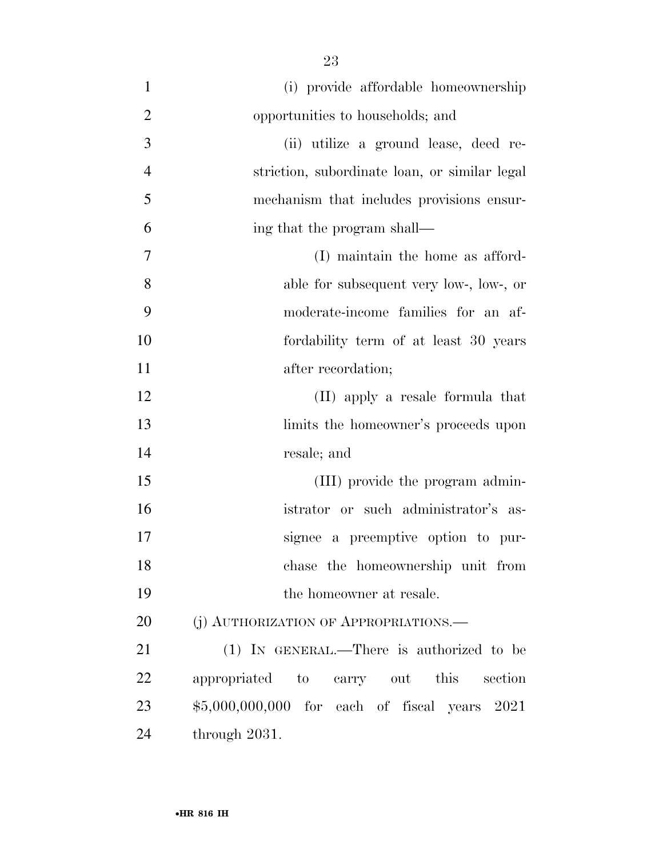(i) provide affordable homeownership opportunities to households; and (ii) utilize a ground lease, deed re- striction, subordinate loan, or similar legal mechanism that includes provisions ensur- ing that the program shall— (I) maintain the home as afford- able for subsequent very low-, low-, or moderate-income families for an af- fordability term of at least 30 years 11 after recordation; (II) apply a resale formula that limits the homeowner's proceeds upon resale; and 15 (III) provide the program admin- istrator or such administrator's as- signee a preemptive option to pur- chase the homeownership unit from the homeowner at resale. 20 (i) AUTHORIZATION OF APPROPRIATIONS. 21 (1) IN GENERAL.—There is authorized to be appropriated to carry out this section \$5,000,000,000 for each of fiscal years 2021 through 2031.